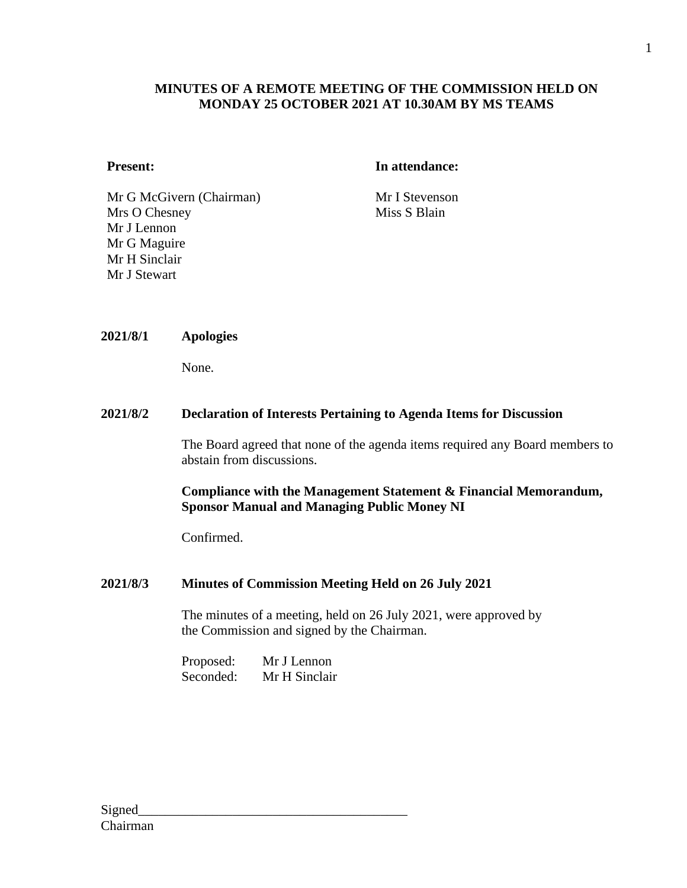## **MINUTES OF A REMOTE MEETING OF THE COMMISSION HELD ON MONDAY 25 OCTOBER 2021 AT 10.30AM BY MS TEAMS**

#### **Present: In attendance:**

Mr G McGivern (Chairman) Mr I Stevenson Mrs O Chesney Mr J Lennon Mr G Maguire Mr H Sinclair Mr J Stewart

Miss S Blain

#### **2021/8/1 Apologies**

None.

#### **2021/8/2 Declaration of Interests Pertaining to Agenda Items for Discussion**

The Board agreed that none of the agenda items required any Board members to abstain from discussions.

## **Compliance with the Management Statement & Financial Memorandum, Sponsor Manual and Managing Public Money NI**

Confirmed.

## **2021/8/3 Minutes of Commission Meeting Held on 26 July 2021**

The minutes of a meeting, held on 26 July 2021, were approved by the Commission and signed by the Chairman.

Proposed: Mr J Lennon Seconded: Mr H Sinclair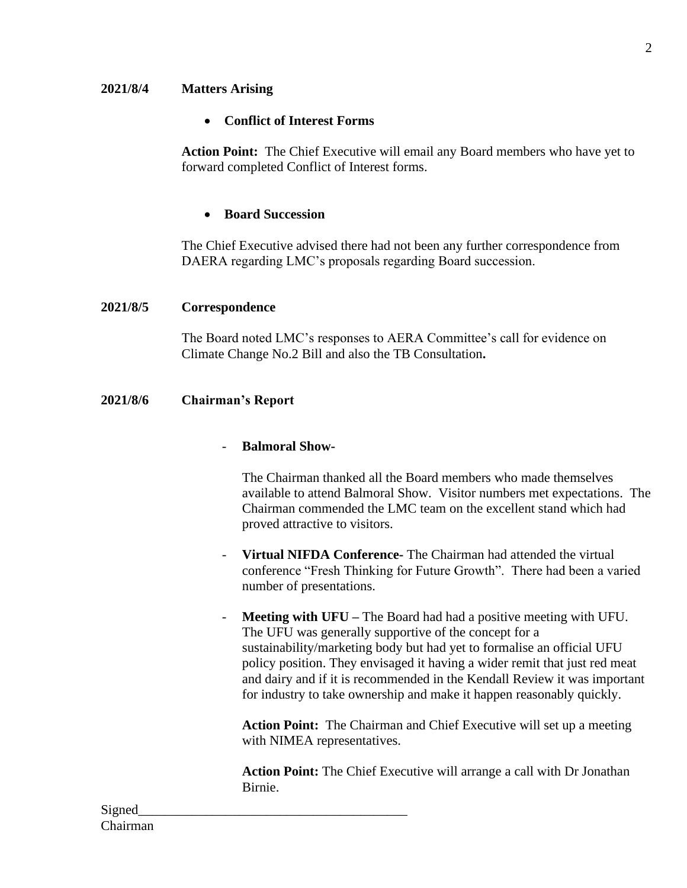## **2021/8/4 Matters Arising**

## • **Conflict of Interest Forms**

**Action Point:** The Chief Executive will email any Board members who have yet to forward completed Conflict of Interest forms.

## • **Board Succession**

The Chief Executive advised there had not been any further correspondence from DAERA regarding LMC's proposals regarding Board succession.

#### **2021/8/5 Correspondence**

The Board noted LMC's responses to AERA Committee's call for evidence on Climate Change No.2 Bill and also the TB Consultation**.** 

#### **2021/8/6 Chairman's Report**

#### - **Balmoral Show-**

The Chairman thanked all the Board members who made themselves available to attend Balmoral Show. Visitor numbers met expectations. The Chairman commended the LMC team on the excellent stand which had proved attractive to visitors.

- **Virtual NIFDA Conference-** The Chairman had attended the virtual conference "Fresh Thinking for Future Growth". There had been a varied number of presentations.
- **Meeting with UFU –** The Board had had a positive meeting with UFU. The UFU was generally supportive of the concept for a sustainability/marketing body but had yet to formalise an official UFU policy position. They envisaged it having a wider remit that just red meat and dairy and if it is recommended in the Kendall Review it was important for industry to take ownership and make it happen reasonably quickly.

**Action Point:** The Chairman and Chief Executive will set up a meeting with NIMEA representatives.

**Action Point:** The Chief Executive will arrange a call with Dr Jonathan Birnie.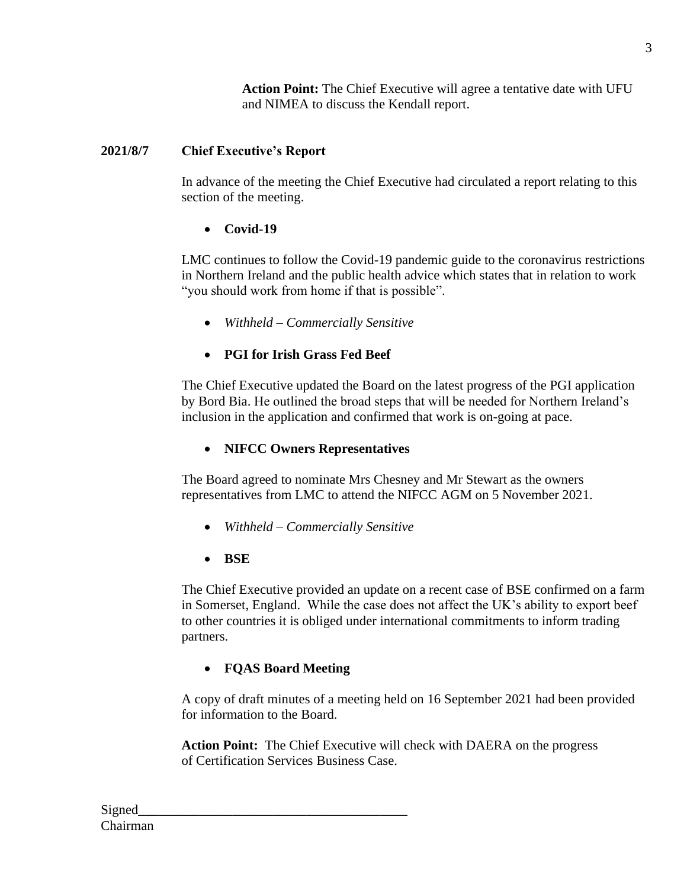**Action Point:** The Chief Executive will agree a tentative date with UFU and NIMEA to discuss the Kendall report.

# **2021/8/7 Chief Executive's Report**

In advance of the meeting the Chief Executive had circulated a report relating to this section of the meeting.

# • **Covid-19**

LMC continues to follow the Covid-19 pandemic guide to the coronavirus restrictions in Northern Ireland and the public health advice which states that in relation to work "you should work from home if that is possible".

• *Withheld – Commercially Sensitive*

# • **PGI for Irish Grass Fed Beef**

The Chief Executive updated the Board on the latest progress of the PGI application by Bord Bia. He outlined the broad steps that will be needed for Northern Ireland's inclusion in the application and confirmed that work is on-going at pace.

# • **NIFCC Owners Representatives**

The Board agreed to nominate Mrs Chesney and Mr Stewart as the owners representatives from LMC to attend the NIFCC AGM on 5 November 2021.

- *Withheld – Commercially Sensitive*
- **BSE**

The Chief Executive provided an update on a recent case of BSE confirmed on a farm in Somerset, England. While the case does not affect the UK's ability to export beef to other countries it is obliged under international commitments to inform trading partners.

# • **FQAS Board Meeting**

A copy of draft minutes of a meeting held on 16 September 2021 had been provided for information to the Board.

**Action Point:** The Chief Executive will check with DAERA on the progress of Certification Services Business Case.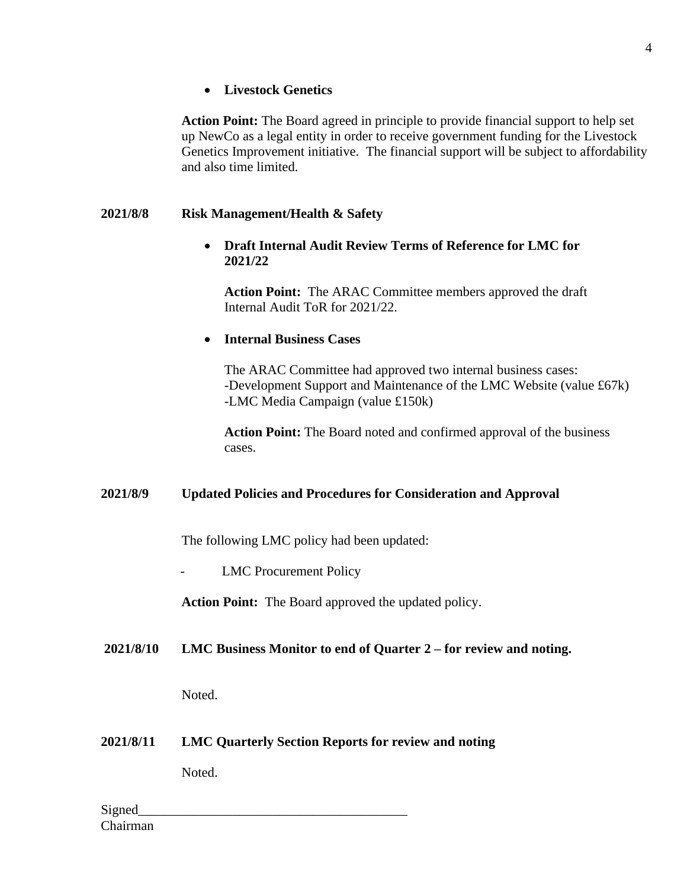## • **Livestock Genetics**

**Action Point:** The Board agreed in principle to provide financial support to help set up NewCo as a legal entity in order to receive government funding for the Livestock Genetics Improvement initiative. The financial support will be subject to affordability and also time limited.

## **2021/8/8 Risk Management/Health & Safety**

## • **Draft Internal Audit Review Terms of Reference for LMC for 2021/22**

**Action Point:** The ARAC Committee members approved the draft Internal Audit ToR for 2021/22.

## • **Internal Business Cases**

The ARAC Committee had approved two internal business cases: -Development Support and Maintenance of the LMC Website (value £67k) -LMC Media Campaign (value £150k)

**Action Point:** The Board noted and confirmed approval of the business cases.

## **2021/8/9 Updated Policies and Procedures for Consideration and Approval**

The following LMC policy had been updated:

LMC Procurement Policy

**Action Point:** The Board approved the updated policy.

## **2021/8/10 LMC Business Monitor to end of Quarter 2 – for review and noting.**

Noted.

**2021/8/11 LMC Quarterly Section Reports for review and noting**

Noted.

Signed Chairman